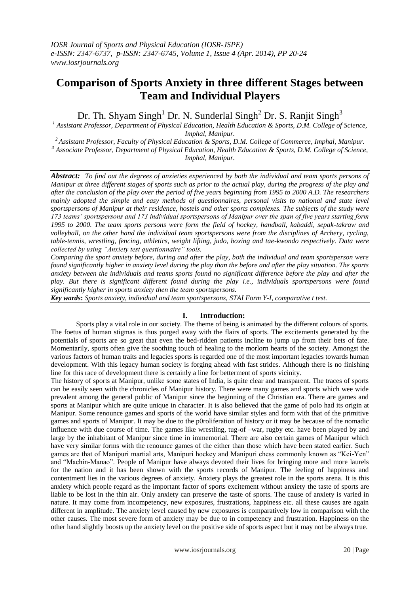# **Comparison of Sports Anxiety in three different Stages between Team and Individual Players**

Dr. Th. Shyam Singh<sup>1</sup> Dr. N. Sunderlal Singh<sup>2</sup> Dr. S. Ranjit Singh<sup>3</sup>

*<sup>1</sup> Assistant Professor, Department of Physical Education, Health Education & Sports, D.M. College of Science, Imphal, Manipur.*

*<sup>2</sup>Assistant Professor, Faculty of Physical Education & Sports, D.M. College of Commerce, Imphal, Manipur. <sup>3</sup> Associate Professor, Department of Physical Education, Health Education & Sports, D.M. College of Science, Imphal, Manipur.*

*Abstract: To find out the degrees of anxieties experienced by both the individual and team sports persons of Manipur at three different stages of sports such as prior to the actual play, during the progress of the play and after the conclusion of the play over the period of five years beginning from 1995 to 2000 A.D. The researchers mainly adopted the simple and easy methods of questionnaires, personal visits to national and state level sportspersons of Manipur at their residence, hostels and other sports complexes. The subjects of the study were 173 teams' sportspersons and 173 individual sportspersons of Manipur over the span of five years starting form 1995 to 2000. The team sports persons were form the field of hockey, handball, kabaddi, sepak-takraw and volleyball, on the other hand the individual team sportspersons were from the disciplines of Archery, cycling, table-tennis, wrestling, fencing, athletics, weight lifting, judo, boxing and tae-kwondo respectively. Data were collected by using "Anxiety test questionnaire" tools.* 

*Comparing the sport anxiety before, during and after the play, both the individual and team sportsperson were found significantly higher in anxiety level during the play than the before and after the play situation. The sports*  anxiety between the individuals and teams sports found no significant difference before the play and after the *play. But there is significant different found during the play i.e., individuals sportspersons were found significantly higher in sports anxiety then the team sportspersons.* 

*Key wards***:** *Sports anxiety, individual and team sportspersons, STAI Form Y-I, comparative t test.*

# **I. Introduction:**

Sports play a vital role in our society. The theme of being is animated by the different colours of sports. The foetus of human stigmas is thus purged away with the flairs of sports. The excitements generated by the potentials of sports are so great that even the bed-ridden patients incline to jump up from their bets of fate. Momentarily, sports often give the soothing touch of healing to the morlorn hearts of the society. Amongst the various factors of human traits and legacies sports is regarded one of the most important legacies towards human development. With this legacy human society is forging ahead with fast strides. Although there is no finishing line for this race of development there is certainly a line for betterment of sports vicinity.

The history of sports at Manipur, unlike some states of India, is quite clear and transparent. The traces of sports can be easily seen with the chronicles of Manipur history. There were many games and sports which wee wide prevalent among the general public of Manipur since the beginning of the Christian era. There are games and sports at Manipur which are quite unique in character. It is also believed that the game of polo had its origin at Manipur. Some renounce games and sports of the world have similar styles and form with that of the primitive games and sports of Manipur. It may be due to the p0roliferation of history or it may be because of the nomadic influence with due course of time. The games like wrestling, tug-of –war, rugby etc. have been played by and large by the inhabitant of Manipur since time in immemorial. There are also certain games of Manipur which have very similar forms with the renounce games of the either than those which have been stated earlier. Such games are that of Manipuri martial arts, Manipuri hockey and Manipuri chess commonly known as "Kei-Yen" and "Machin-Manao". People of Manipur have always devoted their lives for bringing more and more laurels for the nation and it has been shown with the sports records of Manipur. The feeling of happiness and contentment lies in the various degrees of anxiety. Anxiety plays the greatest role in the sports arena. It is this anxiety which people regard as the important factor of sports excitement without anxiety the taste of sports are liable to be lost in the thin air. Only anxiety can preserve the taste of sports. The cause of anxiety is varied in nature. It may come from incompetency, new exposures, frustrations, happiness etc. all these causes are again different in amplitude. The anxiety level caused by new exposures is comparatively low in comparison with the other causes. The most severe form of anxiety may be due to in competency and frustration. Happiness on the other hand slightly boosts up the anxiety level on the positive side of sports aspect but it may not be always true.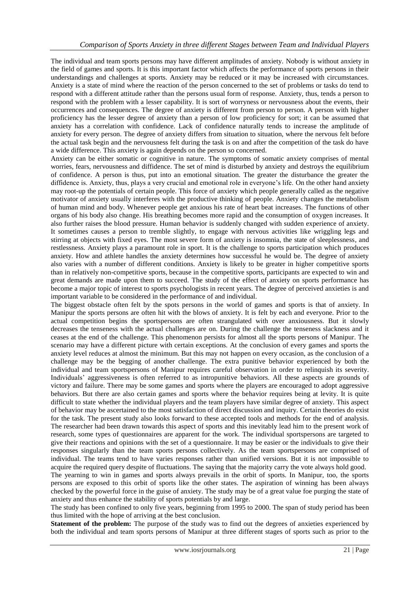The individual and team sports persons may have different amplitudes of anxiety. Nobody is without anxiety in the field of games and sports. It is this important factor which affects the performance of sports persons in their understandings and challenges at sports. Anxiety may be reduced or it may be increased with circumstances. Anxiety is a state of mind where the reaction of the person concerned to the set of problems or tasks do tend to respond with a different attitude rather than the persons usual form of response. Anxiety, thus, tends a person to respond with the problem with a lesser capability. It is sort of worryness or nervousness about the events, their occurrences and consequences. The degree of anxiety is different from person to person. A person with higher proficiency has the lesser degree of anxiety than a person of low proficiency for sort; it can be assumed that anxiety has a correlation with confidence. Lack of confidence naturally tends to increase the amplitude of anxiety for every person. The degree of anxiety differs from situation to situation, where the nervous felt before the actual task begin and the nervousness felt during the task is on and after the competition of the task do have a wide difference. This anxiety is again depends on the person so concerned.

Anxiety can be either somatic or cognitive in nature. The symptoms of somatic anxiety comprises of mental worries, fears, nervousness and diffidence. The set of mind is disturbed by anxiety and destroys the equilibrium of confidence. A person is thus, put into an emotional situation. The greater the disturbance the greater the diffidence is. Anxiety, thus, plays a very crucial and emotional role in everyone"s life. On the other hand anxiety may root-up the potentials of certain people. This force of anxiety which people generally called as the negative motivator of anxiety usually interferes with the productive thinking of people. Anxiety changes the metabolism of human mind and body. Whenever people get anxious his rate of heart beat increases. The functions of other organs of his body also change. His breathing becomes more rapid and the consumption of oxygen increases. It also further raises the blood pressure. Human behavior is suddenly changed with sudden experience of anxiety. It sometimes causes a person to tremble slightly, to engage with nervous activities like wriggling legs and stirring at objects with fixed eyes. The most severe form of anxiety is insomnia, the state of sleeplessness, and restlessness. Anxiety plays a paramount role in sport. It is the challenge to sports participation which produces anxiety. How and athlete handles the anxiety determines how successful he would be. The degree of anxiety also varies with a number of different conditions. Anxiety is likely to be greater in higher competitive sports than in relatively non-competitive sports, because in the competitive sports, participants are expected to win and great demands are made upon them to succeed. The study of the effect of anxiety on sports performance has become a major topic of interest to sports psychologists in recent years. The degree of perceived anxieties is and important variable to be considered in the performance of and individual.

The biggest obstacle often felt by the spots persons in the world of games and sports is that of anxiety. In Manipur the sports persons are often hit with the blows of anxiety. It is felt by each and everyone. Prior to the actual competition begins the sportspersons are often strangulated with over anxiousness. But it slowly decreases the tenseness with the actual challenges are on. During the challenge the tenseness slackness and it ceases at the end of the challenge. This phenomenon persists for almost all the sports persons of Manipur. The scenario may have a different picture with certain exceptions. At the conclusion of every games and sports the anxiety level reduces at almost the minimum. But this may not happen on every occasion, as the conclusion of a challenge may be the begging of another challenge. The extra punitive behavior experienced by both the individual and team sportspersons of Manipur requires careful observation in order to relinquish its severity. Individuals" aggressiveness is often referred to as intropunitive behaviors. All these aspects are grounds of victory and failure. There may be some games and sports where the players are encouraged to adopt aggressive behaviors. But there are also certain games and sports where the behavior requires being at levity. It is quite difficult to state whether the individual players and the team players have similar degree of anxiety. This aspect of behavior may be ascertained to the most satisfaction of direct discussion and inquiry. Certain theories do exist for the task. The present study also looks forward to these accepted tools and methods for the end of analysis. The researcher had been drawn towards this aspect of sports and this inevitably lead him to the present work of research, some types of questionnaires are apparent for the work. The individual sportspersons are targeted to give their reactions and opinions with the set of a questionnaire. It may be easier or the individuals to give their responses singularly than the team sports persons collectively. As the team sportspersons are comprised of individual. The teams tend to have varies responses rather than unified versions. But it is not impossible to acquire the required query despite of fluctuations. The saying that the majority carry the vote always hold good. The yearning to win in games and sports always prevails in the orbit of sports. In Manipur, too, the sports persons are exposed to this orbit of sports like the other states. The aspiration of winning has been always checked by the powerful force in the guise of anxiety. The study may be of a great value foe purging the state of

anxiety and thus enhance the stability of sports potentials by and large. The study has been confined to only five years, beginning from 1995 to 2000. The span of study period has been thus limited with the hope of arriving at the best conclusion.

**Statement of the problem:** The purpose of the study was to find out the degrees of anxieties experienced by both the individual and team sports persons of Manipur at three different stages of sports such as prior to the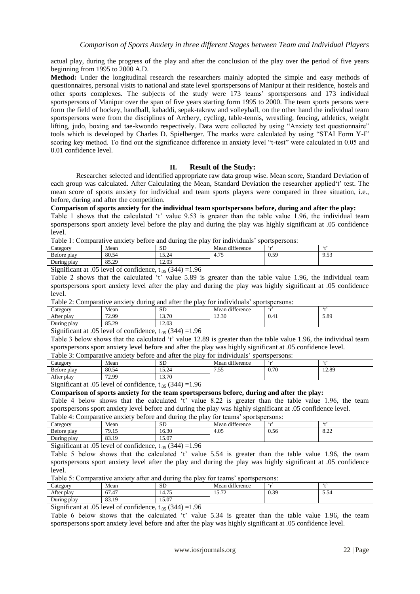actual play, during the progress of the play and after the conclusion of the play over the period of five years beginning from 1995 to 2000 A.D.

**Method:** Under the longitudinal research the researchers mainly adopted the simple and easy methods of questionnaires, personal visits to national and state level sportspersons of Manipur at their residence, hostels and other sports complexes. The subjects of the study were 173 teams" sportspersons and 173 individual sportspersons of Manipur over the span of five years starting form 1995 to 2000. The team sports persons were form the field of hockey, handball, kabaddi, sepak-takraw and volleyball, on the other hand the individual team sportspersons were from the disciplines of Archery, cycling, table-tennis, wrestling, fencing, athletics, weight lifting, judo, boxing and tae-kwondo respectively. Data were collected by using "Anxiety test questionnaire" tools which is developed by Charles D. Spielberger. The marks were calculated by using "STAI Form Y-I" scoring key method. To find out the significance difference in anxiety level "t-test" were calculated in 0.05 and 0.01 confidence level.

## **II. Result of the Study:**

Researcher selected and identified appropriate raw data group wise. Mean score, Standard Deviation of each group was calculated. After Calculating the Mean, Standard Deviation the researcher applied't' test. The mean score of sports anxiety for individual and team sports players were compared in three situation, i.e., before, during and after the competition.

#### **Comparison of sports anxiety for the individual team sportspersons before, during and after the play:**

Table 1 shows that the calculated 't' value 9.53 is greater than the table value 1.96, the individual team sportspersons sport anxiety level before the play and during the play was highly significant at .05 confidence level.

Table 1: Comparative anxiety before and during the play for individuals" sportspersons:

| .<br>.<br>.<br>.<br>_____<br>____<br>_____                                                                                         |                |                       |                           |      |               |  |  |  |
|------------------------------------------------------------------------------------------------------------------------------------|----------------|-----------------------|---------------------------|------|---------------|--|--|--|
| $\angle$ ategory                                                                                                                   | Mean           | <b>SD</b>             | Mean difference           |      | $\sim$ $\sim$ |  |  |  |
| <b>Before</b><br>: plav                                                                                                            | 80.54          | $\sim$ $\sim$<br>10.Z | $\overline{a}$<br>$4.1 -$ | 0.59 | 9.53          |  |  |  |
| During play                                                                                                                        | 85.20<br>رے دن | 12.03                 |                           |      |               |  |  |  |
| $\cdot$ $\sim$<br>$\sim$<br>$\sim$<br>$\sim$ $\sim$ $\sim$<br>$\sim$ $\sim$<br>$\sim$ $\sim$ $\sim$ $\sim$ $\sim$ $\sim$<br>$\sim$ |                |                       |                           |      |               |  |  |  |

Significant at .05 level of confidence,  $t_{.05}$  (344) =1.96

Table 2 shows that the calculated 't' value 5.89 is greater than the table value 1.96, the individual team sportspersons sport anxiety level after the play and during the play was highly significant at .05 confidence level.

Table 2: Comparative anxiety during and after the play for individuals" sportspersons:

| ⌒<br>Category    | Mean                 | <b>SD</b> | difference<br>. .<br>Mean | . .  | $\sim$ |
|------------------|----------------------|-----------|---------------------------|------|--------|
| After play       | <b>72.00</b><br>こっつう | 13.70     | 12.30                     | 0.41 | 5.89   |
| ∽<br>During play | OE<br>ാ<br>          | 12.03     |                           |      |        |

Significant at .05 level of confidence,  $t_{.05}$  (344) =1.96

Table 3 below shows that the calculated 't' value 12.89 is greater than the table value 1.96, the individual team sportspersons sport anxiety level before and after the play was highly significant at .05 confidence level. Table 3: Comparative anxiety before and after the play for individuals" sportspersons:

| ∼<br>$\angle$ ategory | Mean  | <b>SD</b>                                   | difference<br>Mean |      | . .   |
|-----------------------|-------|---------------------------------------------|--------------------|------|-------|
| Before play           | 80.54 | $\overline{\phantom{0}}$<br>$\sim$<br>10.ZT | --<br>ر            | 0.70 | 12.89 |
| After play            | 72.99 | 12.70<br>15.70                              |                    |      |       |

Significant at .05 level of confidence,  $t_{.05}$  (344) =1.96

## **Comparison of sports anxiety for the team sportspersons before, during and after the play:**

Table 4 below shows that the calculated 't' value 8.22 is greater than the table value 1.96, the team sportspersons sport anxiety level before and during the play was highly significant at .05 confidence level. Table 4: Comparative anxiety before and during the play for teams" sportspersons:

| Table +. Comparative anxiety before and during the play for teams<br>- SUVI ISUVI SVIIS. |       |           |                 |      |              |  |  |  |
|------------------------------------------------------------------------------------------|-------|-----------|-----------------|------|--------------|--|--|--|
| Category                                                                                 | Mean  | <b>SD</b> | Mean difference |      | 6.17         |  |  |  |
| Before play                                                                              | 79.15 | 16.30     | 4.05            | 0.56 | 0.22<br>0.ZZ |  |  |  |
| During play                                                                              | 3.19  | 15.07     |                 |      |              |  |  |  |
| $\sim$<br>$\sim$ $ -$<br>$\sim$ $\sim$ $\sim$ $\sim$ $\sim$ $\sim$<br>.                  |       |           |                 |      |              |  |  |  |

Significant at .05 level of confidence,  $t_{.05}$  (344) =1.96

Table 5 below shows that the calculated 't' value 5.54 is greater than the table value 1.96, the team sportspersons sport anxiety level after the play and during the play was highly significant at .05 confidence  $l$ evel.

Table 5: Comparative anxiety after and during the play for teams" sportspersons:

| r<br>$\text{Categor}^{\mathsf{r}}$ | Mean                    | <b>SD</b>   | Mean difference        |      | 6.17          |  |  |
|------------------------------------|-------------------------|-------------|------------------------|------|---------------|--|--|
| After<br>. plav                    | 67.47                   | 75<br>14.75 | $H - T$<br>$1 - 1 = 1$ | 0.39 | - - -<br>3.34 |  |  |
| During play                        | $\Omega$<br>1 O<br>02.1 | 15.07       |                        |      |               |  |  |
| $\sim$ 1.0 $\epsilon$<br>211       |                         |             |                        |      |               |  |  |

Significant at .05 level of confidence,  $t_{.05}$  (344) =1.96

Table 6 below shows that the calculated 't' value 5.34 is greater than the table value 1.96, the team sportspersons sport anxiety level before and after the play was highly significant at .05 confidence level.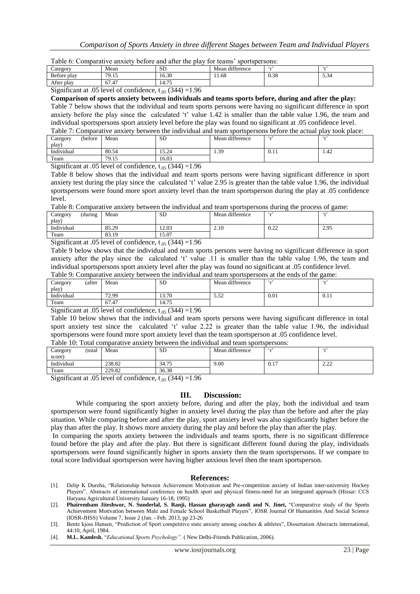|  |  |  | Table 6: Comparative anxiety before and after the play for teams' sportspersons: |
|--|--|--|----------------------------------------------------------------------------------|
|  |  |  |                                                                                  |

| ∽<br>$\angle$ ategory | Mean       | <b>SD</b>        | 1.00<br>Mean difference |      | $\sim$                        |
|-----------------------|------------|------------------|-------------------------|------|-------------------------------|
| Before play           | 70.15<br>ر | 16.30            | 11.68                   | 0.38 | $\cdot$ $\sim$<br><b>D.34</b> |
| After<br>play         | 67.47      | $1 - r$<br>14.75 |                         |      |                               |

Significant at .05 level of confidence,  $t_{.05}$  (344) =1.96

**Comparison of sports anxiety between individuals and teams sports before, during and after the play:** Table 7 below shows that the individual and team sports persons were having no significant difference in sport anxiety before the play since the calculated 't' value 1.42 is smaller than the table value 1.96, the team and individual sportspersons sport anxiety level before the play was found no significant at .05 confidence level. Table 7: Comparative anxiety between the individual and team sportspersons before the actual play took place:

| Tuble 1. Combarding anxiely between the marylagar and team sportspersons before the actual blay took blace. |         |       |           |                 |      |      |  |  |  |
|-------------------------------------------------------------------------------------------------------------|---------|-------|-----------|-----------------|------|------|--|--|--|
| Category                                                                                                    | (before | Mean  | <b>SD</b> | Mean difference |      |      |  |  |  |
| play)                                                                                                       |         |       |           |                 |      |      |  |  |  |
| Individual                                                                                                  |         | 80.54 | 15.24     | .39             | 0.11 | 1.42 |  |  |  |
| Team                                                                                                        |         | 79.15 | 16.03     |                 |      |      |  |  |  |

Significant at .05 level of confidence,  $t_{.05}$  (344) =1.96

Table 8 below shows that the individual and team sports persons were having significant difference in sport anxiety test during the play since the calculated 't' value 2.95 is greater than the table value 1.96, the individual sportspersons were found more sport anxiety level than the team sportsperson during the play at .05 confidence level.

Table 8: Comparative anxiety between the individual and team sportspersons during the process of game:

| Category<br>(during | Mean  | <b>SD</b> | Mean difference |                          | $\sim$ |
|---------------------|-------|-----------|-----------------|--------------------------|--------|
| play <sup>3</sup>   |       |           |                 |                          |        |
| Individual          | 85.29 | 12.03     | 2.10            | 0.22<br>$v.\Delta\Delta$ | 2.95   |
| Team                | 83.19 | 15.07     |                 |                          |        |

Significant at .05 level of confidence,  $t_{.05}$  (344) =1.96

Table 9 below shows that the individual and team sports persons were having no significant difference in sport anxiety after the play since the calculated 't' value .11 is smaller than the table value 1.96, the team and individual sportspersons sport anxiety level after the play was found no significant at .05 confidence level.

|  |  |  | Table 9: Comparative anxiety between the individual and team sportspersons at the ends of the game: |
|--|--|--|-----------------------------------------------------------------------------------------------------|
|--|--|--|-----------------------------------------------------------------------------------------------------|

| (after<br>Category | Mean  | <b>SD</b> | Mean difference |      | $\sim$ $\sim$ |
|--------------------|-------|-----------|-----------------|------|---------------|
| play)              |       |           |                 |      |               |
| Individual         | 72.99 | 13.70     | 5.52            | 0.01 | 0.11          |
| Team               | 67.47 | 14.75     |                 |      |               |
|                    |       |           |                 |      |               |

Significant at .05 level of confidence,  $t_{.05}$  (344) =1.96

Table 10 below shows that the individual and team sports persons were having significant difference in total sport anxiety test since the calculated 't' value 2.22 is greater than the table value 1.96, the individual sportspersons were found more sport anxiety level than the team sportsperson at .05 confidence level. Table 10: Total comparative anxiety between the individual and team sportspersons:

| $\sim$ wore to come voiled we we well be defined as |        |        | <u>UUVIIU ULU LIIVIILEE VALIV VUODI UUULUUUUUU ULUULUU </u> |                 |                      |                  |
|-----------------------------------------------------|--------|--------|-------------------------------------------------------------|-----------------|----------------------|------------------|
| Category                                            | total) | Mean   | <b>SD</b>                                                   | Mean difference | $\epsilon_{\rm max}$ | 6.17             |
| score                                               |        |        |                                                             |                 |                      |                  |
| Individual                                          |        | 238.82 | 34.75                                                       | 9.00            | 0.17                 | $\Omega$<br>2.LL |
| Team                                                |        | 229.82 | 36.38                                                       |                 |                      |                  |

Significant at .05 level of confidence,  $t_{.05}$  (344) =1.96

# **III. Discussion:**

While comparing the sport anxiety before, during and after the play, both the individual and team sportsperson were found significantly higher in anxiety level during the play than the before and after the play situation. While comparing before and after the play, sport anxiety level was also significantly higher before the play than after the play. It shows more anxiety during the play and before the play than after the play.

In comparing the sports anxiety between the individuals and teams sports, there is no significant difference found before the play and after the play. But there is significant different found during the play, individuals sportspersons were found significantly higher in sports anxiety then the team sportspersons. If we compare to total score Individual sportsperson were having higher anxious level then the team sportsperson.

## **References:**

[4]. **M.L. Kamlesh**, "*Educational Sports Psychology".* ( New Delhi-Friends Publication, 2006).

<sup>[1].</sup> Delip K Dureha, "Relationship between Achievement Motivation and Pre-competition anxiety of Indian inter-university Hockey Players", Abstracts of international conference on health sport and physical fitness-need for an integrated approach (Hissar: CCS Haryana Agricultural University January 16-18, 1995)

<sup>[2].</sup> **Phairembam Jiteshwor, N. Sunderlal, S. Ranji, Hassan gharayagh zandi and N. Jinet,** "Comparative study of the Sports Achievement Motivation between Male and Female School Basketball Players", IOSR Journal Of Humanities And Social Science (IOSR-JHSS) Volume 7, Issue 2 (Jan. - Feb. 2013, pp 23-26

<sup>[3].</sup> Bente kjoss Hansen, "Prediction of Sport competitive state anxiety among coaches & athletes", Dissertation Abstracts international, 44:10, April, 1984.